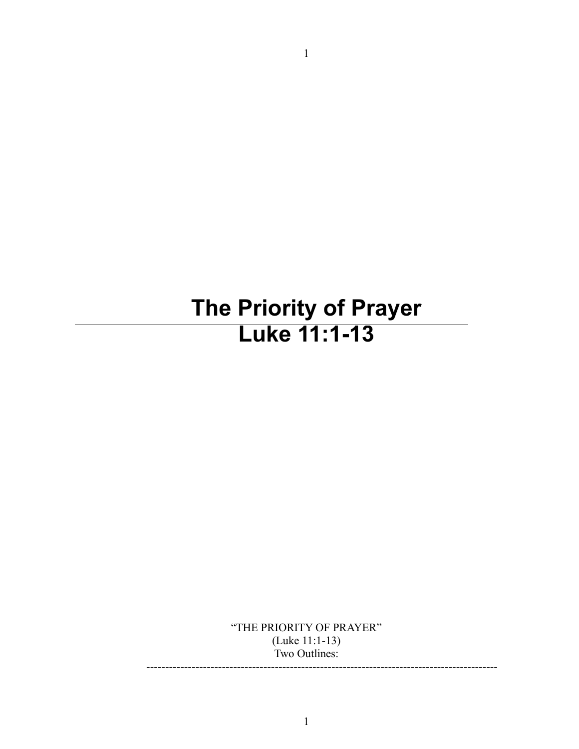# **The Priority of Prayer Luke 11:1-13**

1

"THE PRIORITY OF PRAYER" (Luke 11:1-13) Two Outlines: ---------------------------------------------------------------------------------------------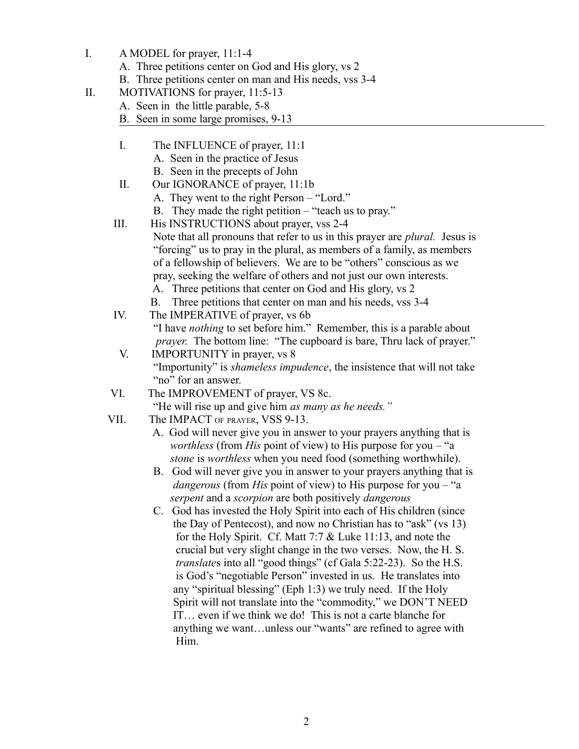- I. A MODEL for prayer, 11:1-4
	- A. Three petitions center on God and His glory, vs 2
	- B. Three petitions center on man and His needs, vss 3-4
- II. MOTIVATIONS for prayer, 11:5-13
	- A. Seen in the little parable, 5-8
	- B. Seen in some large promises, 9-13
	- I. The INFLUENCE of prayer, 11:1
		- A. Seen in the practice of Jesus
		- B. Seen in the precepts of John
	- II. Our IGNORANCE of prayer, 11:1b
		- A. They went to the right Person "Lord."
		- B. They made the right petition "teach us to pray."
	- III. His INSTRUCTIONS about prayer, vss 2-4 Note that all pronouns that refer to us in this prayer are *plural.* Jesus is "forcing" us to pray in the plural, as members of a family, as members of a fellowship of believers. We are to be "others" conscious as we pray, seeking the welfare of others and not just our own interests.
		- A. Three petitions that center on God and His glory, vs 2
		- B. Three petitions that center on man and his needs, vss 3-4
	- IV. The IMPERATIVE of prayer, vs 6b "I have *nothing* to set before him." Remember, this is a parable about *prayer.* The bottom line: "The cupboard is bare, Thru lack of prayer."
	- V. IMPORTUNITY in prayer, vs 8 "Importunity" is *shameless impudence*, the insistence that will not take "no" for an answer.
	- VI. The IMPROVEMENT of prayer, VS 8c. "He will rise up and give him *as many as he needs."*
	- VII. The IMPACT OF PRAYER, VSS 9-13.
		- A. God will never give you in answer to your prayers anything that is *worthless* (from *His* point of view) to His purpose for you – "a  *stone* is *worthless* when you need food (something worthwhile).
		- B. God will never give you in answer to your prayers anything that is *dangerous* (from *His* point of view) to His purpose for you – "a  *serpent* and a *scorpion* are both positively *dangerous*
		- C. God has invested the Holy Spirit into each of His children (since the Day of Pentecost), and now no Christian has to "ask" (vs 13) for the Holy Spirit. Cf. Matt 7:7 & Luke 11:13, and note the crucial but very slight change in the two verses. Now, the H. S. *translate*s into all "good things" (cf Gala 5:22-23). So the H.S. is God's "negotiable Person" invested in us. He translates into any "spiritual blessing" (Eph 1:3) we truly need. If the Holy Spirit will not translate into the "commodity," we DON'T NEED IT… even if we think we do! This is not a carte blanche for anything we want…unless our "wants" are refined to agree with Him.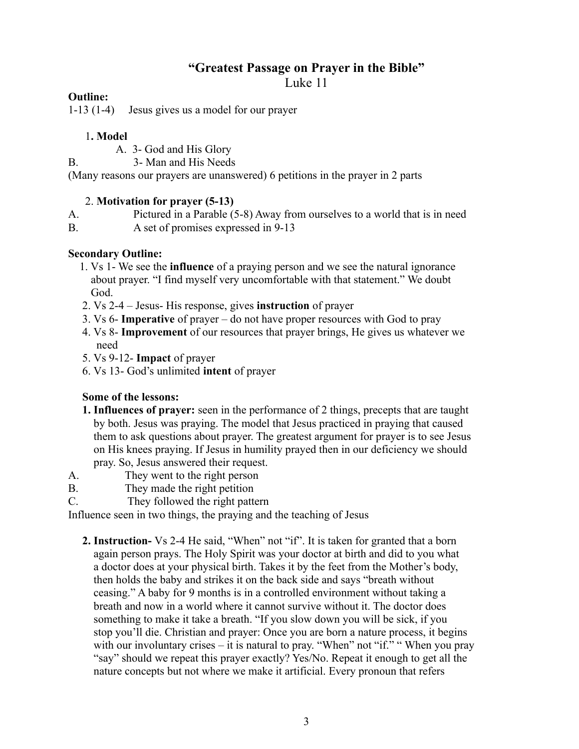## **"Greatest Passage on Prayer in the Bible"**

Luke 11

#### **Outline:**

1-13 (1-4) Jesus gives us a model for our prayer

#### 1**. Model**

A. 3- God and His Glory

B. 3- Man and His Needs

(Many reasons our prayers are unanswered) 6 petitions in the prayer in 2 parts

### 2. **Motivation for prayer (5-13)**

A. Pictured in a Parable (5-8) Away from ourselves to a world that is in need B. A set of promises expressed in 9-13

### **Secondary Outline:**

- 1. Vs 1- We see the **influence** of a praying person and we see the natural ignorance about prayer. "I find myself very uncomfortable with that statement." We doubt God.
- 2. Vs 2-4 Jesus- His response, gives **instruction** of prayer
- 3. Vs 6- **Imperative** of prayer do not have proper resources with God to pray
- 4. Vs 8- **Improvement** of our resources that prayer brings, He gives us whatever we need
- 5. Vs 9-12- **Impact** of prayer
- 6. Vs 13- God's unlimited **intent** of prayer

# **Some of the lessons:**

- **1. Influences of prayer:** seen in the performance of 2 things, precepts that are taught by both. Jesus was praying. The model that Jesus practiced in praying that caused them to ask questions about prayer. The greatest argument for prayer is to see Jesus on His knees praying. If Jesus in humility prayed then in our deficiency we should pray. So, Jesus answered their request.
- A. They went to the right person
- B. They made the right petition
- C. They followed the right pattern

Influence seen in two things, the praying and the teaching of Jesus

 **2. Instruction-** Vs 2-4 He said, "When" not "if". It is taken for granted that a born again person prays. The Holy Spirit was your doctor at birth and did to you what a doctor does at your physical birth. Takes it by the feet from the Mother's body, then holds the baby and strikes it on the back side and says "breath without ceasing." A baby for 9 months is in a controlled environment without taking a breath and now in a world where it cannot survive without it. The doctor does something to make it take a breath. "If you slow down you will be sick, if you stop you'll die. Christian and prayer: Once you are born a nature process, it begins with our involuntary crises – it is natural to pray. "When" not "if." "When you pray "say" should we repeat this prayer exactly? Yes/No. Repeat it enough to get all the nature concepts but not where we make it artificial. Every pronoun that refers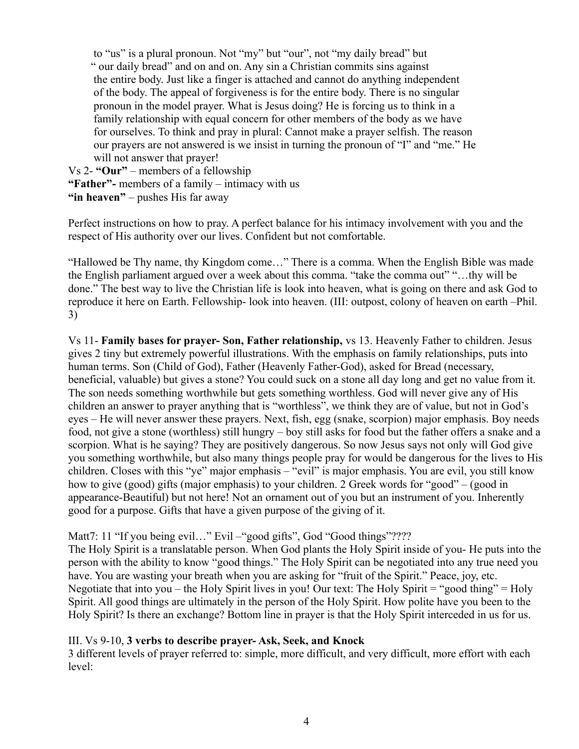to "us" is a plural pronoun. Not "my" but "our", not "my daily bread" but " our daily bread" and on and on. Any sin a Christian commits sins against the entire body. Just like a finger is attached and cannot do anything independent of the body. The appeal of forgiveness is for the entire body. There is no singular pronoun in the model prayer. What is Jesus doing? He is forcing us to think in a family relationship with equal concern for other members of the body as we have for ourselves. To think and pray in plural: Cannot make a prayer selfish. The reason our prayers are not answered is we insist in turning the pronoun of "I" and "me." He will not answer that prayer!

Vs 2- **"Our"** – members of a fellowship **"Father"-** members of a family – intimacy with us **"in heaven"** – pushes His far away

Perfect instructions on how to pray. A perfect balance for his intimacy involvement with you and the respect of His authority over our lives. Confident but not comfortable.

"Hallowed be Thy name, thy Kingdom come…" There is a comma. When the English Bible was made the English parliament argued over a week about this comma. "take the comma out" "…thy will be done." The best way to live the Christian life is look into heaven, what is going on there and ask God to reproduce it here on Earth. Fellowship- look into heaven. (III: outpost, colony of heaven on earth –Phil. 3)

Vs 11- **Family bases for prayer- Son, Father relationship,** vs 13. Heavenly Father to children. Jesus gives 2 tiny but extremely powerful illustrations. With the emphasis on family relationships, puts into human terms. Son (Child of God), Father (Heavenly Father-God), asked for Bread (necessary, beneficial, valuable) but gives a stone? You could suck on a stone all day long and get no value from it. The son needs something worthwhile but gets something worthless. God will never give any of His children an answer to prayer anything that is "worthless", we think they are of value, but not in God's eyes – He will never answer these prayers. Next, fish, egg (snake, scorpion) major emphasis. Boy needs food, not give a stone (worthless) still hungry – boy still asks for food but the father offers a snake and a scorpion. What is he saying? They are positively dangerous. So now Jesus says not only will God give you something worthwhile, but also many things people pray for would be dangerous for the lives to His children. Closes with this "ye" major emphasis – "evil" is major emphasis. You are evil, you still know how to give (good) gifts (major emphasis) to your children. 2 Greek words for "good" – (good in appearance-Beautiful) but not here! Not an ornament out of you but an instrument of you. Inherently good for a purpose. Gifts that have a given purpose of the giving of it.

Matt7: 11 "If you being evil..." Evil – "good gifts", God "Good things"????

The Holy Spirit is a translatable person. When God plants the Holy Spirit inside of you- He puts into the person with the ability to know "good things." The Holy Spirit can be negotiated into any true need you have. You are wasting your breath when you are asking for "fruit of the Spirit." Peace, joy, etc. Negotiate that into you – the Holy Spirit lives in you! Our text: The Holy Spirit = "good thing" = Holy Spirit. All good things are ultimately in the person of the Holy Spirit. How polite have you been to the Holy Spirit? Is there an exchange? Bottom line in prayer is that the Holy Spirit interceded in us for us.

#### III. Vs 9-10, **3 verbs to describe prayer- Ask, Seek, and Knock**

3 different levels of prayer referred to: simple, more difficult, and very difficult, more effort with each level: